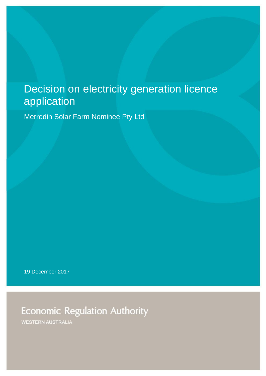# Decision on electricity generation licence application

Merredin Solar Farm Nominee Pty Ltd

19 December 2017

**Economic Regulation Authority** 

**WESTERN AUSTRALIA**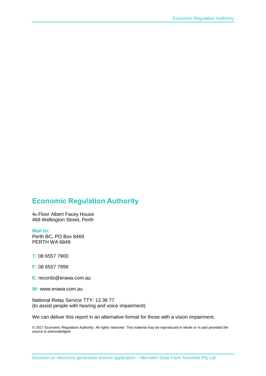### **Economic Regulation Authority**

4th Floor Albert Facey House 469 Wellington Street, Perth

#### **Mail to:**

Perth BC, PO Box 8469 PERTH WA 6849

**T:** 08 6557 7900

**F:** 08 6557 7999

**E:** records@erawa.com.au

**W:** www.erawa.com.au

National Relay Service TTY: 13 36 77 (to assist people with hearing and voice impairment)

We can deliver this report in an alternative format for those with a vision impairment.

© 2017 Economic Regulation Authority. All rights reserved. This material may be reproduced in whole or in part provided the source is acknowledged.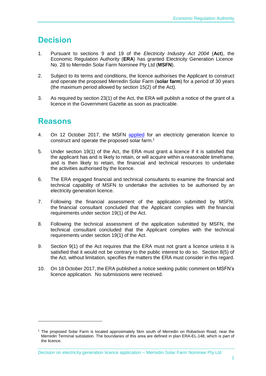## **Decision**

- 1. Pursuant to sections 9 and 19 of the *Electricity Industry Act 2004* (**Act**), the Economic Regulation Authority (**ERA**) has granted Electricity Generation Licence No. 28 to Merredin Solar Farm Nominee Pty Ltd (**MSFN**).
- 2. Subject to its terms and conditions, the licence authorises the Applicant to construct and operate the proposed Merredin Solar Farm (**solar farm**) for a period of 30 years (the maximum period allowed by section 15(2) of the Act).
- 3. As required by section 23(1) of the Act, the ERA will publish a notice of the grant of a licence in the Government Gazette as soon as practicable.

### **Reasons**

-

- 4. On 12 October 2017, the MSFN [applied](http://www.erawa.com.au/cproot/18391/2/Licence%20application%20consultation%20paper%20-%20Merredin%20Solar%20Farm%20Nominee%20Pty%20Ltd%20(EGL028).pdf) for an electricity generation licence to construct and operate the proposed solar farm. 1
- 5. Under section 19(1) of the Act, the ERA must grant a licence if it is satisfied that the applicant has and is likely to retain, or will acquire within a reasonable timeframe, and is then likely to retain, the financial and technical resources to undertake the activities authorised by the licence.
- 6. The ERA engaged financial and technical consultants to examine the financial and technical capability of MSFN to undertake the activities to be authorised by an electricity generation licence.
- 7. Following the financial assessment of the application submitted by MSFN, the financial consultant concluded that the Applicant complies with the financial requirements under section 19(1) of the Act.
- 8. Following the technical assessment of the application submitted by MSFN, the technical consultant concluded that the Applicant complies with the technical requirements under section 19(1) of the Act.
- 9. Section 9(1) of the Act requires that the ERA must not grant a licence unless it is satisfied that it would not be contrary to the public interest to do so. Section 8(5) of the Act, without limitation, specifies the matters the ERA must consider in this regard.
- 10. On 18 October 2017, the ERA published a notice seeking public comment on MSFN's licence application. No submissions were received.

<sup>1</sup> The proposed Solar Farm is located approximately 5km south of Merredin on Robartson Road, near the Merredin Terminal substation. The boundaries of this area are defined in plan ERA-EL-148, which is part of the licence.